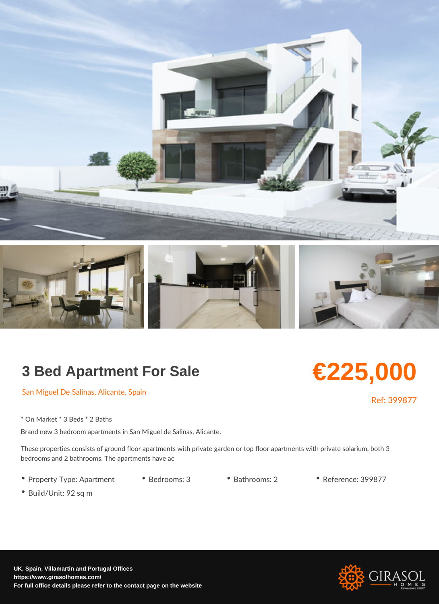## 3 Bed Apartment For Sale

## €225,000

San Miguel De Salinas, Alicante, Spain

Ref: 399877

\* On Market \* 3 Beds \* 2 Baths

Brand new 3 bedroom apartments in San Miguel de Salinas, Alicante.

These properties consists of ground floor apartments with private garden or top floor ap bedrooms and 2 bathrooms. The apartments have ac

- Property Type: Apartm Bent rooms: 3 Bathrooms: 2 Reference: 399877
- Build/Unit: 92 sq m